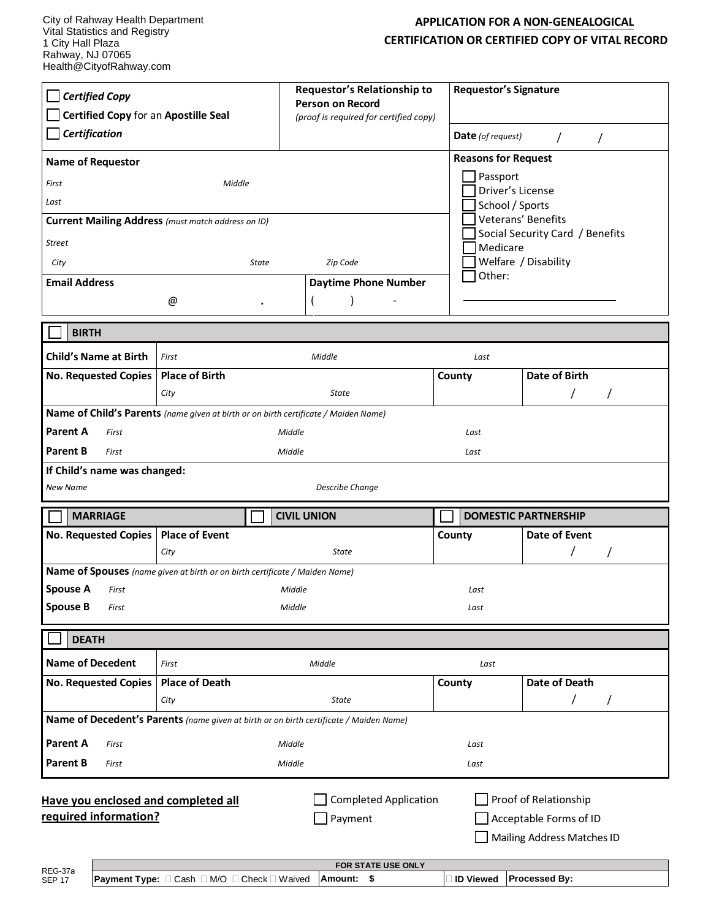## **APPLICATION FOR A NON-GENEALOGICAL CERTIFICATION OR CERTIFIED COPY OF VITAL RECORD**

| <b>Certified Copy</b><br>Certified Copy for an Apostille Seal<br><b>Certification</b>                      |                                                                             | Requestor's Relationship to<br><b>Person on Record</b><br>(proof is required for certified copy) | <b>Requestor's Signature</b><br><b>Date</b> (of request) | $\prime$                                                                      |  |
|------------------------------------------------------------------------------------------------------------|-----------------------------------------------------------------------------|--------------------------------------------------------------------------------------------------|----------------------------------------------------------|-------------------------------------------------------------------------------|--|
|                                                                                                            |                                                                             |                                                                                                  |                                                          | $\prime$                                                                      |  |
| <b>Reasons for Request</b><br><b>Name of Requestor</b><br>Passport                                         |                                                                             |                                                                                                  |                                                          |                                                                               |  |
| First                                                                                                      | Middle                                                                      |                                                                                                  | Driver's License                                         |                                                                               |  |
| Last<br>School / Sports<br>Veterans' Benefits<br><b>Current Mailing Address</b> (must match address on ID) |                                                                             |                                                                                                  |                                                          |                                                                               |  |
| Social Security Card / Benefits<br><b>Street</b>                                                           |                                                                             |                                                                                                  |                                                          |                                                                               |  |
| City                                                                                                       | State<br>Zip Code                                                           |                                                                                                  |                                                          | Medicare<br>Welfare / Disability                                              |  |
| <b>Email Address</b>                                                                                       |                                                                             | <b>Daytime Phone Number</b>                                                                      | Other:                                                   |                                                                               |  |
|                                                                                                            | @                                                                           |                                                                                                  |                                                          |                                                                               |  |
|                                                                                                            |                                                                             |                                                                                                  |                                                          |                                                                               |  |
| <b>BIRTH</b>                                                                                               |                                                                             |                                                                                                  |                                                          |                                                                               |  |
| <b>Child's Name at Birth</b>                                                                               | First                                                                       | Middle                                                                                           | Last                                                     |                                                                               |  |
| <b>No. Requested Copies</b>                                                                                | <b>Place of Birth</b>                                                       |                                                                                                  | County                                                   | Date of Birth                                                                 |  |
|                                                                                                            | City                                                                        | State                                                                                            |                                                          |                                                                               |  |
| Name of Child's Parents (name given at birth or on birth certificate / Maiden Name)                        |                                                                             |                                                                                                  |                                                          |                                                                               |  |
| <b>Parent A</b><br>First                                                                                   |                                                                             | Middle                                                                                           | Last                                                     |                                                                               |  |
| <b>Parent B</b><br>First<br>Middle<br>Last                                                                 |                                                                             |                                                                                                  |                                                          |                                                                               |  |
| If Child's name was changed:<br>New Name<br><b>Describe Change</b>                                         |                                                                             |                                                                                                  |                                                          |                                                                               |  |
| <b>MARRIAGE</b>                                                                                            |                                                                             | <b>CIVIL UNION</b>                                                                               |                                                          | <b>DOMESTIC PARTNERSHIP</b>                                                   |  |
| No. Requested Copies   Place of Event                                                                      |                                                                             |                                                                                                  | County                                                   | Date of Event                                                                 |  |
|                                                                                                            | City                                                                        | <b>State</b>                                                                                     |                                                          |                                                                               |  |
|                                                                                                            | Name of Spouses (name given at birth or on birth certificate / Maiden Name) |                                                                                                  |                                                          |                                                                               |  |
| <b>Spouse A</b><br>First<br><b>Spouse B</b><br>First                                                       |                                                                             | Middle<br>Middle                                                                                 | Last                                                     |                                                                               |  |
|                                                                                                            |                                                                             |                                                                                                  | Last                                                     |                                                                               |  |
| <b>DEATH</b>                                                                                               |                                                                             |                                                                                                  |                                                          |                                                                               |  |
| <b>Name of Decedent</b>                                                                                    | First                                                                       | Middle                                                                                           | Last                                                     |                                                                               |  |
| <b>No. Requested Copies</b>                                                                                | <b>Place of Death</b>                                                       |                                                                                                  | County                                                   | <b>Date of Death</b>                                                          |  |
|                                                                                                            |                                                                             |                                                                                                  |                                                          | 7<br>7                                                                        |  |
|                                                                                                            | City                                                                        | <b>State</b>                                                                                     |                                                          |                                                                               |  |
|                                                                                                            |                                                                             | Name of Decedent's Parents (name given at birth or on birth certificate / Maiden Name)           |                                                          |                                                                               |  |
| <b>Parent A</b><br>First                                                                                   |                                                                             | Middle                                                                                           | Last                                                     |                                                                               |  |
| <b>Parent B</b><br>First                                                                                   |                                                                             | Middle                                                                                           | Last                                                     |                                                                               |  |
| Have you enclosed and completed all<br>required information?                                               |                                                                             | <b>Completed Application</b><br>Payment<br>FOR STATE USE ONLY                                    |                                                          | Proof of Relationship<br>Acceptable Forms of ID<br>Mailing Address Matches ID |  |